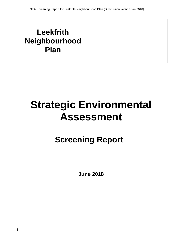## **Leekfrith Neighbourhood Plan**

# **Strategic Environmental Assessment**

## **Screening Report**

**June 2018**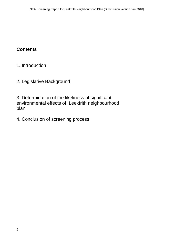### **Contents**

- 1. Introduction
- 2. Legislative Background

3. Determination of the likeliness of significant environmental effects of Leekfrith neighbourhood plan

4. Conclusion of screening process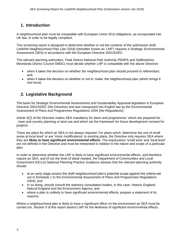#### **1. Introduction**

A neighbourhood plan must be compatible with European Union (EU) obligations, as incorporated into UK law, in order to be legally compliant.

This screening report is designed to determine whether or not the contents of the submission draft Leekfrith Neighbourhood Plan (Jan 2018) (hereafter known as 'LNP') requires a Strategic Environmental Assessment (SEA) in accordance with the European Directive 2001/42/EC.

The relevant planning authorities, Peak District National Park Authority PDNPA and Staffordshire Moorlands District Council SMDC) must decide whether LNP is compatible with the above Directive:

- when it takes the decision on whether the neighbourhood plan should proceed to referendum; and
- when it takes the decision on whether or not to 'make' the neighbourhood plan (which brings it into force)

#### **2. Legislative Background**

The basis for Strategic Environmental Assessments and Sustainability Appraisal legislation is European Directive 2001/42/EC (the Directive) and was transposed into English law by the Environmental Assessment of Plans and Programmes Regulations 2004 (the Regulations).

Article 3(2) of the Directive makes SEA mandatory for plans and programmes 'which are prepared for . . . town and country planning or land use and which set the framework for future development consent for projects . . .'

There are plans for which an SEA is not always required. For plans which 'determine the use of small areas at local level' or are 'minor modifications' to existing plans, the Directive only requires SEA where they are *likely to have significant environmental effects*. The expressions 'small area' and 'local level' are not defined in the Directive and must be interpreted in relation to the nature and scope of a particular plan.

In order to determine whether the LNP is likely to have significant environmental effects, and therefore require an SEA, and (if so) the level of detail needed, the Department of Communities and Local Government (DCLG) National Planning Practice Guidance advises that the relevant planning authority should:

- at an early stage assess the draft neighbourhood plan's potential scope against the criteria set out in Schedule 1 to the Environmental Assessment of Plans and Programmes Regulations 2004); and
- in so doing, should consult the statutory consultation bodies, in this case, Historic England, Natural England and the Environment Agency; and
- where a plan is unlikely to have significant environmental effects, prepare a statement of its reasons.

Where a neighbourhood plan is likely to have a significant effect on the environment an SEA must be carried out. Section 3 of this report assess LNP for the likeliness of significant environmental effects.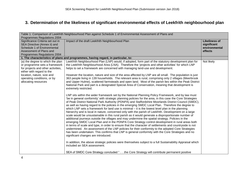#### **3. Determination of the likeliness of significant environmental effects of Leekfrith neighbourhood plan**

| Table 1: Comparison of Leekfrith Neighbourhood Plan against Schedule 1 of Environmental Assessment of Plans and |                                                                                                                                          |                      |  |  |
|-----------------------------------------------------------------------------------------------------------------|------------------------------------------------------------------------------------------------------------------------------------------|----------------------|--|--|
| Programmes Regulations 2004<br>Significance Criteria set out in                                                 | Impact of the draft Leekfrith Neighbourhood Plan                                                                                         | <b>Likeliness of</b> |  |  |
| SEA Directive (Annex ii) and                                                                                    |                                                                                                                                          | significant          |  |  |
| Schedule 1 of Environmental                                                                                     |                                                                                                                                          | environmental        |  |  |
| Assessment of Plans and                                                                                         |                                                                                                                                          | effects              |  |  |
| Programmes Regulations 2004                                                                                     |                                                                                                                                          |                      |  |  |
|                                                                                                                 | 1. The characteristics of plans and programmes, having regard, in particular, to:                                                        |                      |  |  |
| (a) the degree to which the plan                                                                                | Leekfrith Neighbourhood Plan (LNP) would, if adopted, form part of the statutory development plan for                                    | Not likely           |  |  |
| or programme sets a framework                                                                                   | the Leekfrith Neighbourhood Area (LNA). Therefore the 'projects and other activities' for which LNP                                      |                      |  |  |
| for projects and other activities,                                                                              | helps to set a framework are concerned with managing land-use and development.                                                           |                      |  |  |
| either with regard to the                                                                                       |                                                                                                                                          |                      |  |  |
| location, nature, size and                                                                                      | However the location, nature and size of the area affected by LNP are all small. The population is just                                  |                      |  |  |
| operating conditions, or by                                                                                     | 363 people living in 139 households. The relevant area is rural, comprising only 2 villages (Meerbrook                                   |                      |  |  |
| allocating resources                                                                                            | and Upper Hulme), scattered farmsteads and open land. Most of the parish lies within the Peak District                                   |                      |  |  |
|                                                                                                                 | National Park and part is a designated Special Area of Conservation, meaning that development is                                         |                      |  |  |
|                                                                                                                 | extremely restricted.                                                                                                                    |                      |  |  |
|                                                                                                                 |                                                                                                                                          |                      |  |  |
|                                                                                                                 | LNP sits within the wider framework set by the National Planning Policy Framework, and by law must                                       |                      |  |  |
|                                                                                                                 | be in general conformity' with strategic planning policies for the area, in this case the Core Strategies                                |                      |  |  |
|                                                                                                                 | of Peak District National Park Authority (PDNPA) and Staffordshire Moorlands District Council (SMDC),                                    |                      |  |  |
|                                                                                                                 | as well as having regard to the policies in the emerging SMDC Local Plan. Therefore the degree to                                        |                      |  |  |
|                                                                                                                 | which LNP sets a framework for land use is minimal – it is the lowest level plan in the planning                                         |                      |  |  |
|                                                                                                                 | hierarchy and is local in nature, concerned only with the parish of Leekfrith. Development on a large                                    |                      |  |  |
|                                                                                                                 | scale would be unsustainable in this rural parish as it would generate a disproportionate number of                                      |                      |  |  |
|                                                                                                                 | additional journeys outside the villages and may undermine the spatial strategy. Policies in the                                         |                      |  |  |
|                                                                                                                 | emerging SMDC Local Plan and in the PDNPA Core Strategy control development in rural areas both                                          |                      |  |  |
|                                                                                                                 | in terms of scale and type, in order to ensure that the character of settlements and countryside is not                                  |                      |  |  |
|                                                                                                                 | undermined. An assessment of the LNP policies for their conformity to the adopted Core Strategies                                        |                      |  |  |
|                                                                                                                 | has been undertaken. This confirms that LNP is general conformity with the Core Strategies and no<br>significant changes are introduced. |                      |  |  |
|                                                                                                                 |                                                                                                                                          |                      |  |  |
|                                                                                                                 | In addition, the above strategic policies were themselves subject to a full Sustainability Appraisal which                               |                      |  |  |
|                                                                                                                 | included an SEA assessment.                                                                                                              |                      |  |  |
|                                                                                                                 |                                                                                                                                          |                      |  |  |
|                                                                                                                 | SEA of SMDC Core Strategy concluded "the Core Strategy will contribute permanent positive                                                |                      |  |  |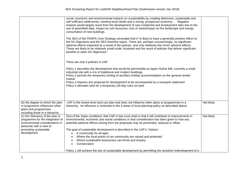|                                                                                                                                                                              | social, economic and environmental impacts on sustainability by creating distinctive, sustainable and<br>self-sufficient settlements, meeting local needs and a strong, prosperous economy. Negative<br>impacts would largely result from the development of new residential and employment sites due to the<br>use of greenfield sites, impact on soil resources, loss of views/impact on the landscape and energy<br>consumption of new buildings.<br>The SEA of the PDNPA Core Strategy concluded that it "is likely to have a generally positive effect on<br>the SA Objectives and the SEA Directive topics. There are, perhaps unsurprisingly, no significant<br>adverse effects expected as a result of the policies, and only relatively few minor adverse effects.<br>These are likely to be relatively small-scale, localised and the result of policies that deliver significant<br>benefits to other SA Objectives."<br>There are only 4 policies in LNP:<br>Policy 1 describes the development that would be permissible at Upper Hulme Mill, currently a small<br>industrial site with a mix of traditional and modern buildings.<br>Policy 2 permits the temporary renting of ancillary holiday accommodation on the general rented<br>market<br>Policy 3 requires any proposal for development to be accompanied by a transport statement<br>Policy 4 allocates land for a temporary (28 day rule) car park |            |
|------------------------------------------------------------------------------------------------------------------------------------------------------------------------------|-----------------------------------------------------------------------------------------------------------------------------------------------------------------------------------------------------------------------------------------------------------------------------------------------------------------------------------------------------------------------------------------------------------------------------------------------------------------------------------------------------------------------------------------------------------------------------------------------------------------------------------------------------------------------------------------------------------------------------------------------------------------------------------------------------------------------------------------------------------------------------------------------------------------------------------------------------------------------------------------------------------------------------------------------------------------------------------------------------------------------------------------------------------------------------------------------------------------------------------------------------------------------------------------------------------------------------------------------------------------------------------------------------------------------------|------------|
| (b) the degree to which the plan<br>or programme influences other<br>plans and programmes<br>including those in a hierarchy.                                                 | LNP is the lowest level land use plan and does not influence other plans or programmes in a<br>hierarchy. Its influence is restricted to the 4 areas of local planning policy as described above.                                                                                                                                                                                                                                                                                                                                                                                                                                                                                                                                                                                                                                                                                                                                                                                                                                                                                                                                                                                                                                                                                                                                                                                                                           | Not likely |
| (c) the relevance of the plan or<br>programme for the integration of<br>environmental considerations in<br>particular with a view to<br>promoting sustainable<br>development | One of the 'basic conditions' that LNP in law must meet is that it will contribute to improvements in<br>environmental, economic and social conditions or that consideration has been given to how any<br>potential adverse effects arising from the proposals may be prevented, reduced or offset.<br>The goal of sustainable development is described in the LNP's 'Visions':<br>A community for all ages<br>Where the focal points of our community are valued and protected<br>Where sustainable businesses can thrive and employ<br>Conservation<br>$\bullet$<br>Policy 1 will achieve the aim of sustainable development by permitting the sensitive redevelopment of a                                                                                                                                                                                                                                                                                                                                                                                                                                                                                                                                                                                                                                                                                                                                               | Not likely |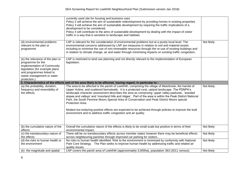|                                                                                                                                                                                                 | currently used site for housing and business uses<br>Policy 2 will achieve the aim of sustainable redevelopment by providing homes in existing properties<br>Policy 3 will achieve the aim of sustainable development by requiring the traffic implications of a<br>development to be considered.<br>Policy 4 will contribute to the aims of sustainable development by dealing with the impact of visitor<br>traffic in a way that is sensitive to landscape and habitats.                                                                                                                                                                                                                                             |             |
|-------------------------------------------------------------------------------------------------------------------------------------------------------------------------------------------------|-------------------------------------------------------------------------------------------------------------------------------------------------------------------------------------------------------------------------------------------------------------------------------------------------------------------------------------------------------------------------------------------------------------------------------------------------------------------------------------------------------------------------------------------------------------------------------------------------------------------------------------------------------------------------------------------------------------------------|-------------|
| (d) environmental problems<br>relevant to the plan or<br>programme                                                                                                                              | LNP is relevant for the consideration of environmental problems but at a purely local level. The<br>environmental concerns addressed by LNP are measures in relation to soil and material assets<br>including to minimise the use of non-renewable resources through the re-use of existing buildings and<br>in relation to climate change, air and water through minimising impacts on existing traffic congestion.                                                                                                                                                                                                                                                                                                    | Not likely  |
| (e) the relevance of the plan or<br>programme for the<br>implementation of Community<br>legislation (for example plans<br>and programmes linked to<br>waste management or water<br>protection.) | LNP is restricted to land use planning and not directly relevant to the implementation of European<br>legislation.                                                                                                                                                                                                                                                                                                                                                                                                                                                                                                                                                                                                      |             |
|                                                                                                                                                                                                 | 2. Characteristics of the effects and of the area likely to be affected, having regard, in particular to :                                                                                                                                                                                                                                                                                                                                                                                                                                                                                                                                                                                                              |             |
| (a) the probability, duration,<br>frequency and reversibility of<br>the effects.                                                                                                                | The area to be affected is the parish of Leekfrith, comprising the village of Meerbrook, the hamlet of<br>Upper Hulme, and scattered farmsteads. It is a protected rural, upland landscape. The PDNPA's<br>landscape character assessment describes the area as comprising 'upper valley pastures', 'wooded<br>slopes and valleys' and 'moorland hills and ridges'. Part of the area is within the Peak District National<br>Park, the South Pennine Moors Special Area of Conservation and Peak District Moors special<br>Protection Area.<br>Modest but enduring positive effects are expected to be achieved through policies to improve the built<br>environment and to address traffic congestion and air quality. | Not likely. |
| (b) the cumulative nature of the<br>effects                                                                                                                                                     | Overall the cumulative nature of the effects is likely to be small scale but positive in terms of their<br>environmental impact.                                                                                                                                                                                                                                                                                                                                                                                                                                                                                                                                                                                        | Not likely  |
| (c) the transboundary nature of<br>the effects                                                                                                                                                  | There will be no transboundary effects across member states however there may be beneficial effects<br>across neighbouring parishes through improved car parking for visitors                                                                                                                                                                                                                                                                                                                                                                                                                                                                                                                                           | Not likely  |
| (d) the risks to human health or<br>the environment                                                                                                                                             | No risks to human health identified. Risk to the environment is minimised by conformity with National<br>Park Core Strategy. The Plan seeks to improve human health by addressing traffic and related air<br>quality issues.                                                                                                                                                                                                                                                                                                                                                                                                                                                                                            | Not likely  |
| (e) the magnitude and spatial                                                                                                                                                                   | LNP covers the parish area of Leekfrith (approximately 3,000ha), population 363 (2011 census).                                                                                                                                                                                                                                                                                                                                                                                                                                                                                                                                                                                                                          | Not likely  |